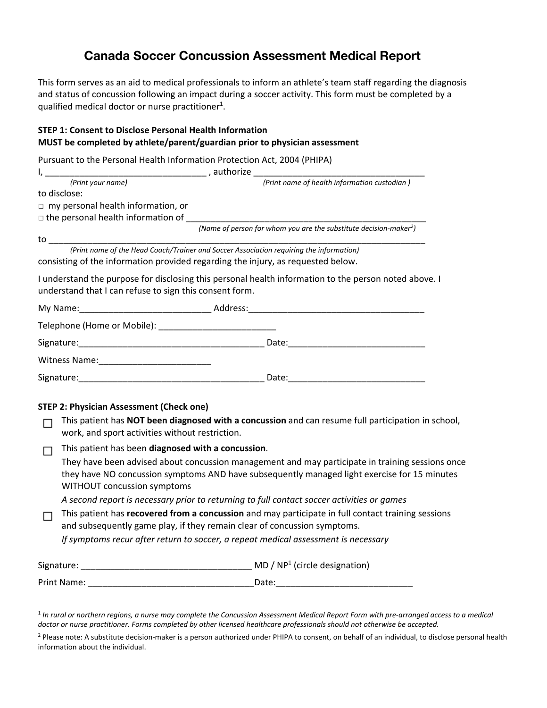# **Canada Soccer Concussion Assessment Medical Report**

This form serves as an aid to medical professionals to inform an athlete's team staff regarding the diagnosis and status of concussion following an impact during a soccer activity. This form must be completed by a qualified medical doctor or nurse practitioner<sup>1</sup>.

#### **STEP 1: Consent to Disclose Personal Health Information MUST be completed by athlete/parent/guardian prior to physician assessment**

Pursuant to the Personal Health Information Protection Act, 2004 (PHIPA)

|                                                                                                                                                                                                                                           | (Print name of health information custodian)                                                          |  |  |  |
|-------------------------------------------------------------------------------------------------------------------------------------------------------------------------------------------------------------------------------------------|-------------------------------------------------------------------------------------------------------|--|--|--|
| to disclose:                                                                                                                                                                                                                              |                                                                                                       |  |  |  |
| $\Box$ my personal health information, or                                                                                                                                                                                                 |                                                                                                       |  |  |  |
| $\Box$ the personal health information of                                                                                                                                                                                                 |                                                                                                       |  |  |  |
|                                                                                                                                                                                                                                           | (Name of person for whom you are the substitute decision-maker <sup>2</sup> )                         |  |  |  |
|                                                                                                                                                                                                                                           |                                                                                                       |  |  |  |
| consisting of the information provided regarding the injury, as requested below.                                                                                                                                                          |                                                                                                       |  |  |  |
| understand that I can refuse to sign this consent form.                                                                                                                                                                                   | I understand the purpose for disclosing this personal health information to the person noted above. I |  |  |  |
|                                                                                                                                                                                                                                           |                                                                                                       |  |  |  |
|                                                                                                                                                                                                                                           |                                                                                                       |  |  |  |
|                                                                                                                                                                                                                                           |                                                                                                       |  |  |  |
|                                                                                                                                                                                                                                           |                                                                                                       |  |  |  |
|                                                                                                                                                                                                                                           |                                                                                                       |  |  |  |
| <b>STEP 2: Physician Assessment (Check one)</b><br>work, and sport activities without restriction.                                                                                                                                        | This patient has NOT been diagnosed with a concussion and can resume full participation in school,    |  |  |  |
| This patient has been diagnosed with a concussion.                                                                                                                                                                                        |                                                                                                       |  |  |  |
| $\Box$<br>They have been advised about concussion management and may participate in training sessions once<br>they have NO concussion symptoms AND have subsequently managed light exercise for 15 minutes<br>WITHOUT concussion symptoms |                                                                                                       |  |  |  |
|                                                                                                                                                                                                                                           | A second report is necessary prior to returning to full contact soccer activities or games            |  |  |  |
| This patient has recovered from a concussion and may participate in full contact training sessions<br>$\Box$<br>and subsequently game play, if they remain clear of concussion symptoms.                                                  |                                                                                                       |  |  |  |
|                                                                                                                                                                                                                                           | If symptoms recur after return to soccer, a repeat medical assessment is necessary                    |  |  |  |
|                                                                                                                                                                                                                                           |                                                                                                       |  |  |  |
|                                                                                                                                                                                                                                           |                                                                                                       |  |  |  |
|                                                                                                                                                                                                                                           | (Print your name)                                                                                     |  |  |  |

<sup>1</sup> *In rural or northern regions, a nurse may complete the Concussion Assessment Medical Report Form with pre‐arranged access to a medical doctor or nurse practitioner. Forms completed by other licensed healthcare professionals should not otherwise be accepted.* 

<sup>2</sup> Please note: A substitute decision-maker is a person authorized under PHIPA to consent, on behalf of an individual, to disclose personal health information about the individual.